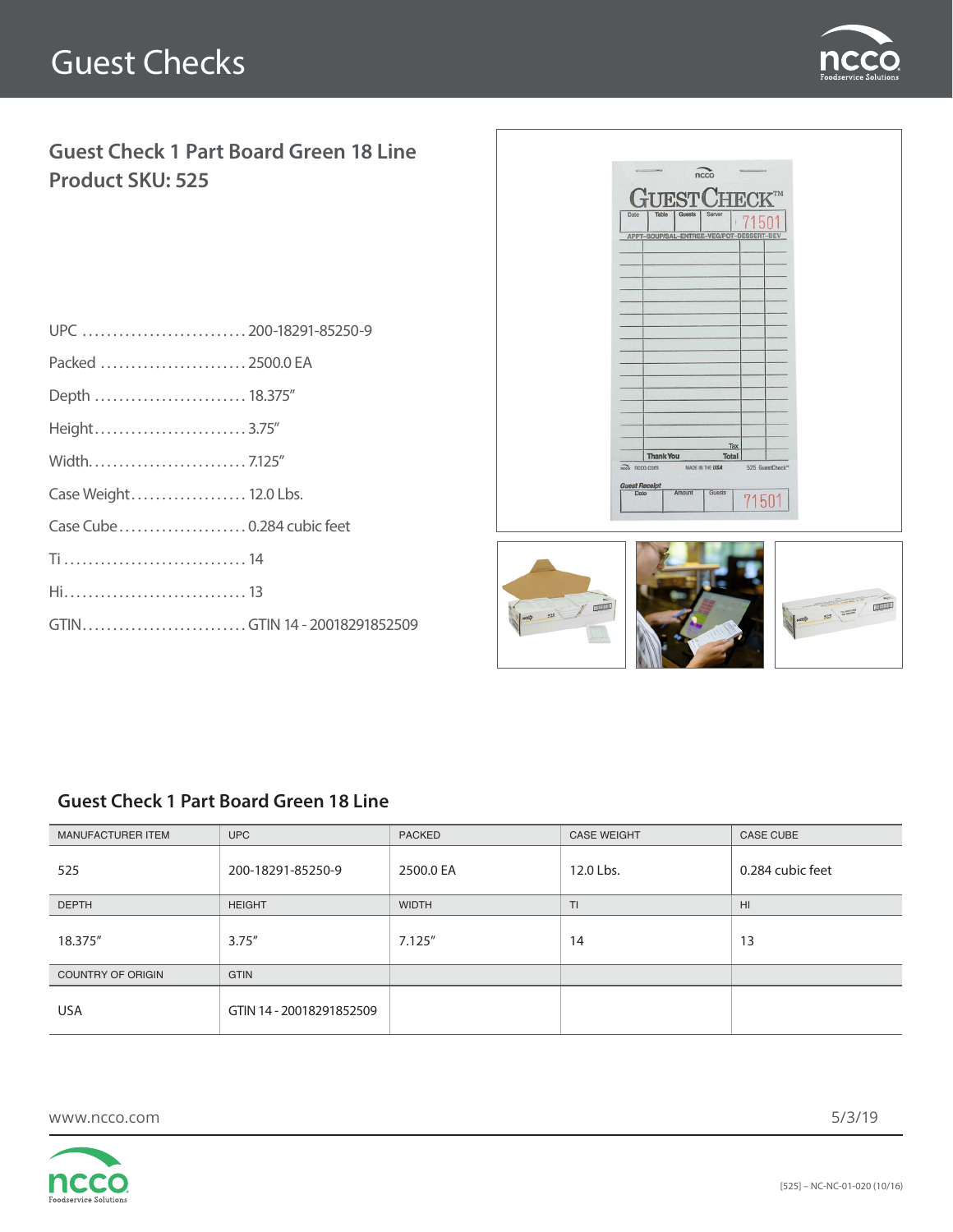# Guest Checks



### **Guest Check 1 Part Board Green 18 Line Product SKU: 525**

| UPC  200-18291-85250-9       |  |
|------------------------------|--|
| Packed  2500.0 EA            |  |
| Depth  18.375"               |  |
| Height3.75"                  |  |
|                              |  |
| Case Weight 12.0 Lbs.        |  |
| Case Cube  0.284 cubic feet  |  |
|                              |  |
|                              |  |
| GTINGTIN 14 - 20018291852509 |  |
|                              |  |



#### **Guest Check 1 Part Board Green 18 Line**

| <b>MANUFACTURER ITEM</b> | <b>UPC</b>               | <b>PACKED</b> | <b>CASE WEIGHT</b> | <b>CASE CUBE</b> |
|--------------------------|--------------------------|---------------|--------------------|------------------|
| 525                      | 200-18291-85250-9        | 2500.0 EA     | 12.0 Lbs.          | 0.284 cubic feet |
| <b>DEPTH</b>             | <b>HEIGHT</b>            | <b>WIDTH</b>  | TI                 | H <sub>II</sub>  |
| 18.375"                  | 3.75''                   | 7.125''       | 14                 | 13               |
| <b>COUNTRY OF ORIGIN</b> | <b>GTIN</b>              |               |                    |                  |
| <b>USA</b>               | GTIN 14 - 20018291852509 |               |                    |                  |